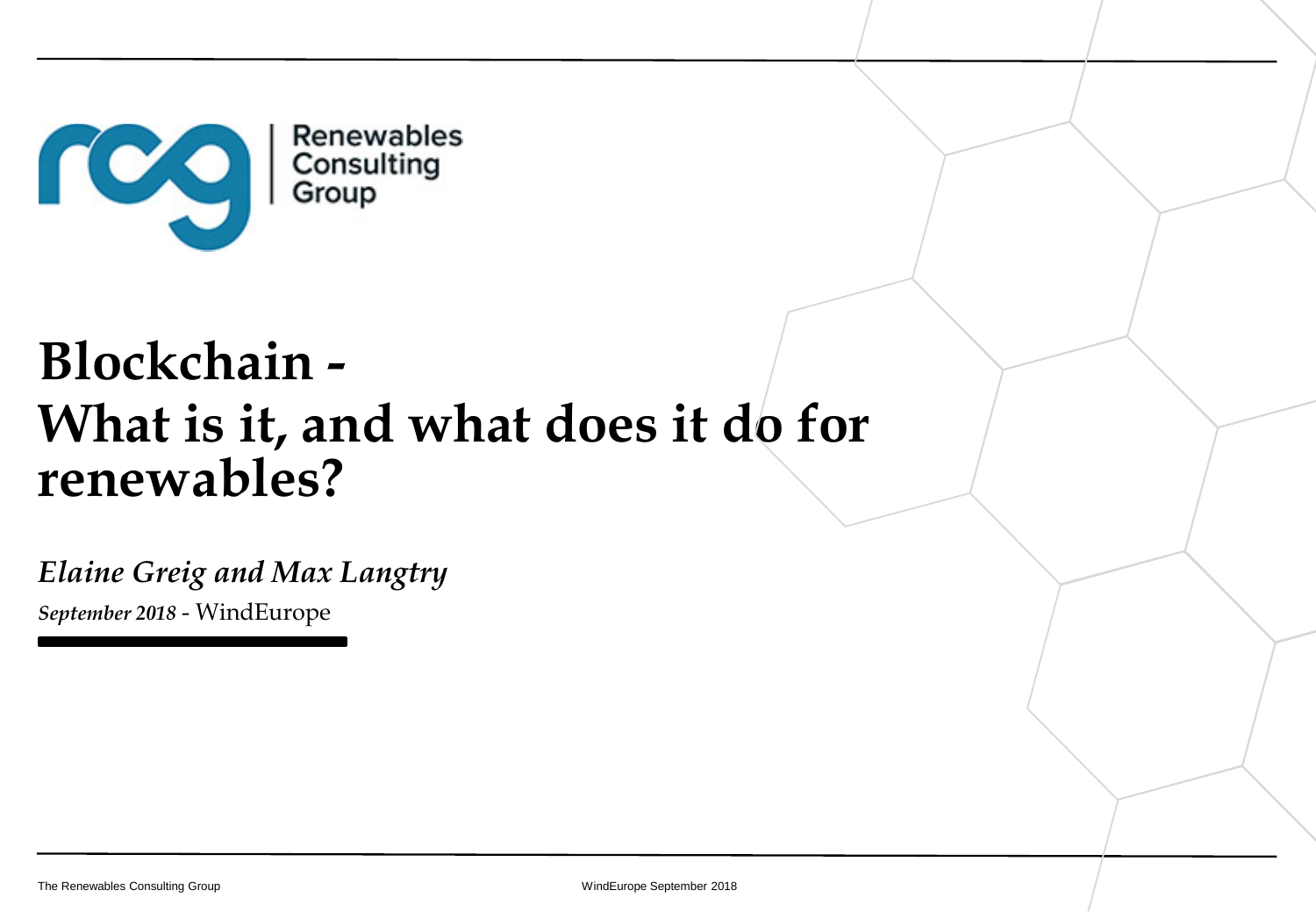

# **Blockchain - What is it, and what does it do for renewables?**

*Elaine Greig and Max Langtry September 2018* - WindEurope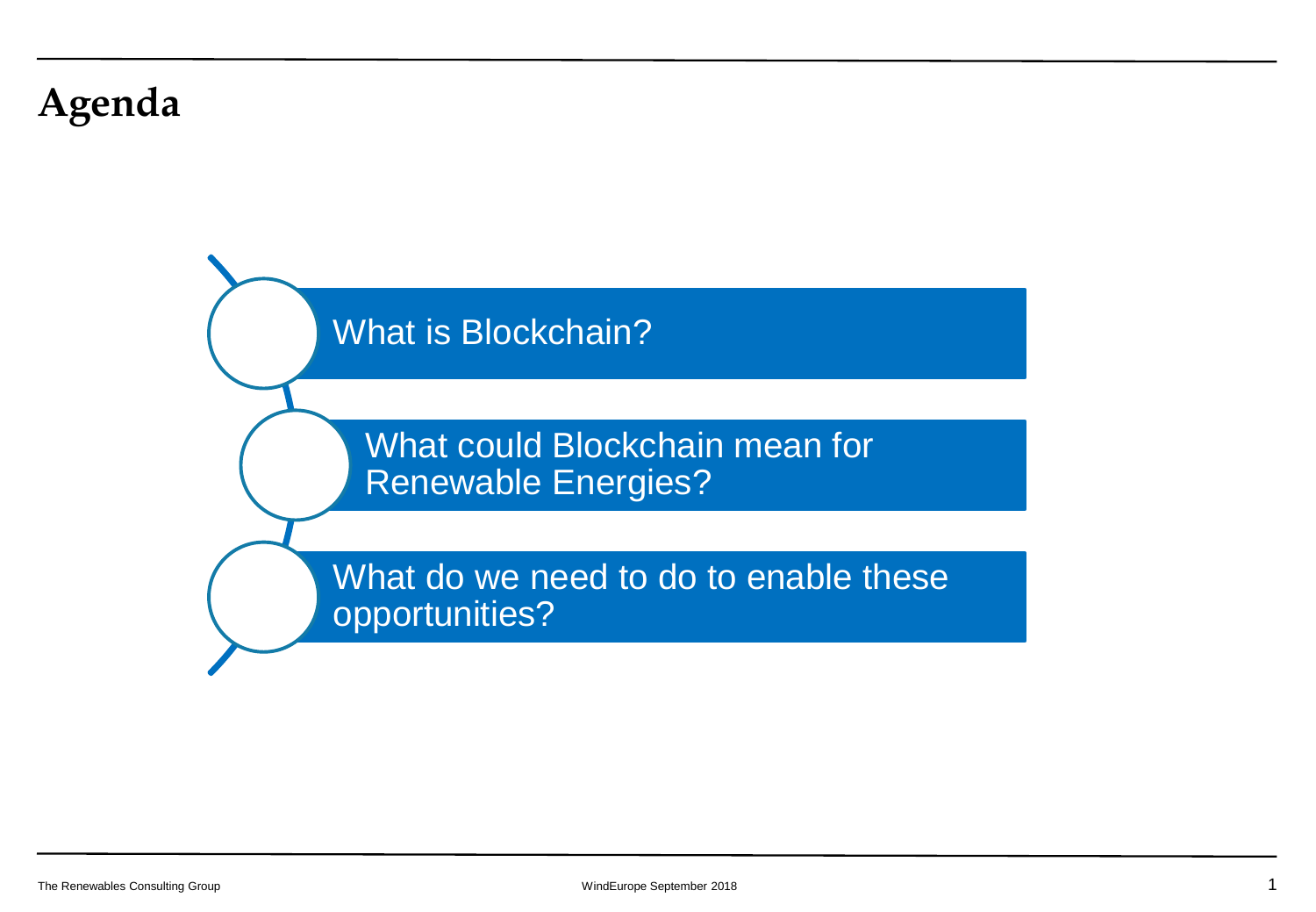## **Agenda**

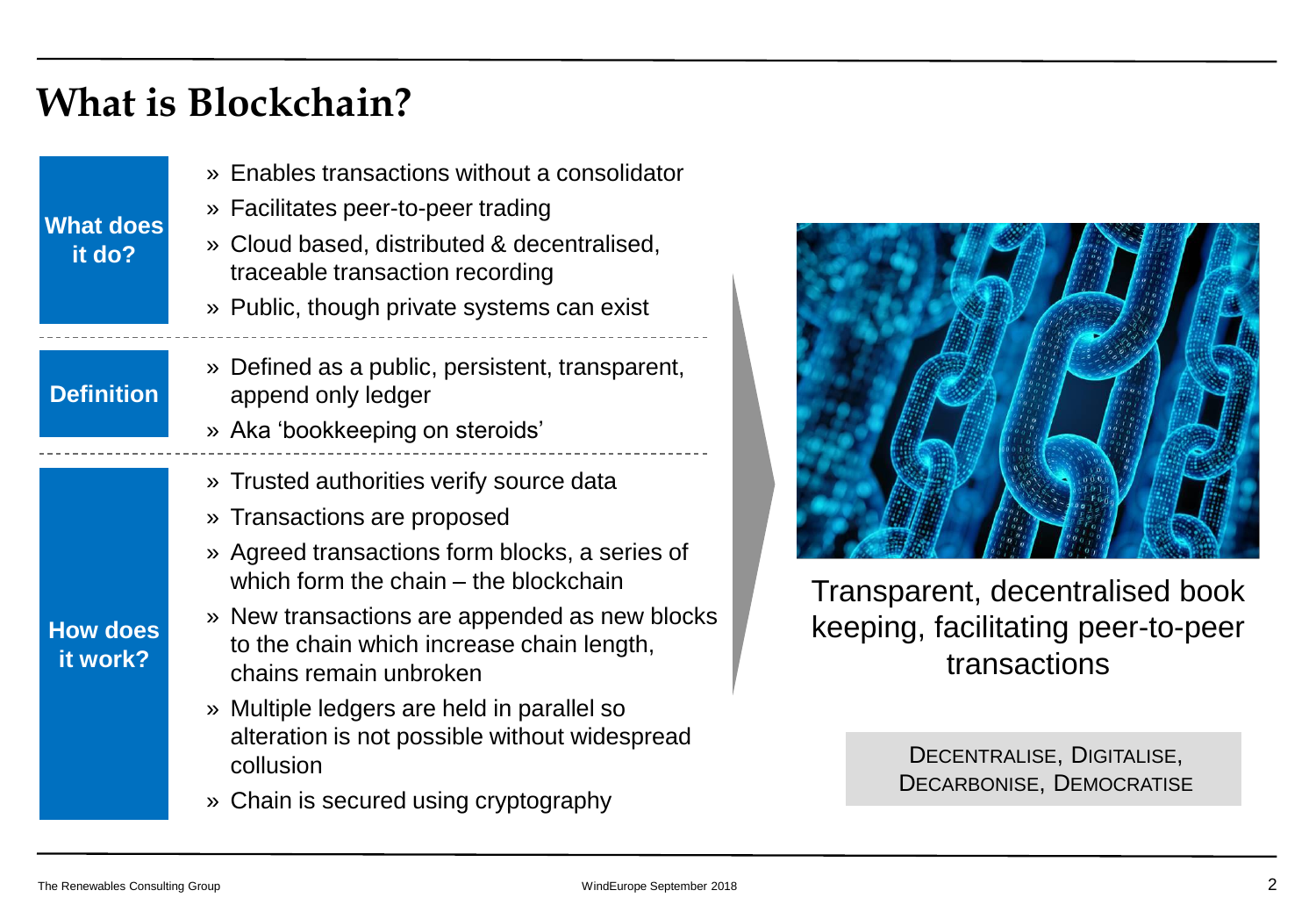## **What is Blockchain?**

| <b>What does</b><br>it do?  | » Enables transactions without a consolidator<br>» Facilitates peer-to-peer trading<br>» Cloud based, distributed & decentralised,<br>traceable transaction recording<br>» Public, though private systems can exist                                                                                                                                                                                                                             |  |
|-----------------------------|-------------------------------------------------------------------------------------------------------------------------------------------------------------------------------------------------------------------------------------------------------------------------------------------------------------------------------------------------------------------------------------------------------------------------------------------------|--|
| <b>Definition</b>           | » Defined as a public, persistent, transparent,<br>append only ledger<br>» Aka 'bookkeeping on steroids'                                                                                                                                                                                                                                                                                                                                        |  |
| <b>How does</b><br>it work? | » Trusted authorities verify source data<br>» Transactions are proposed<br>» Agreed transactions form blocks, a series of<br>which form the chain – the blockchain<br>» New transactions are appended as new blocks<br>to the chain which increase chain length,<br>chains remain unbroken<br>» Multiple ledgers are held in parallel so<br>alteration is not possible without widespread<br>collusion<br>» Chain is secured using cryptography |  |



Transparent, decentralised book keeping, facilitating peer-to-peer transactions

> DECENTRALISE, DIGITALISE, DECARBONISE, DEMOCRATISE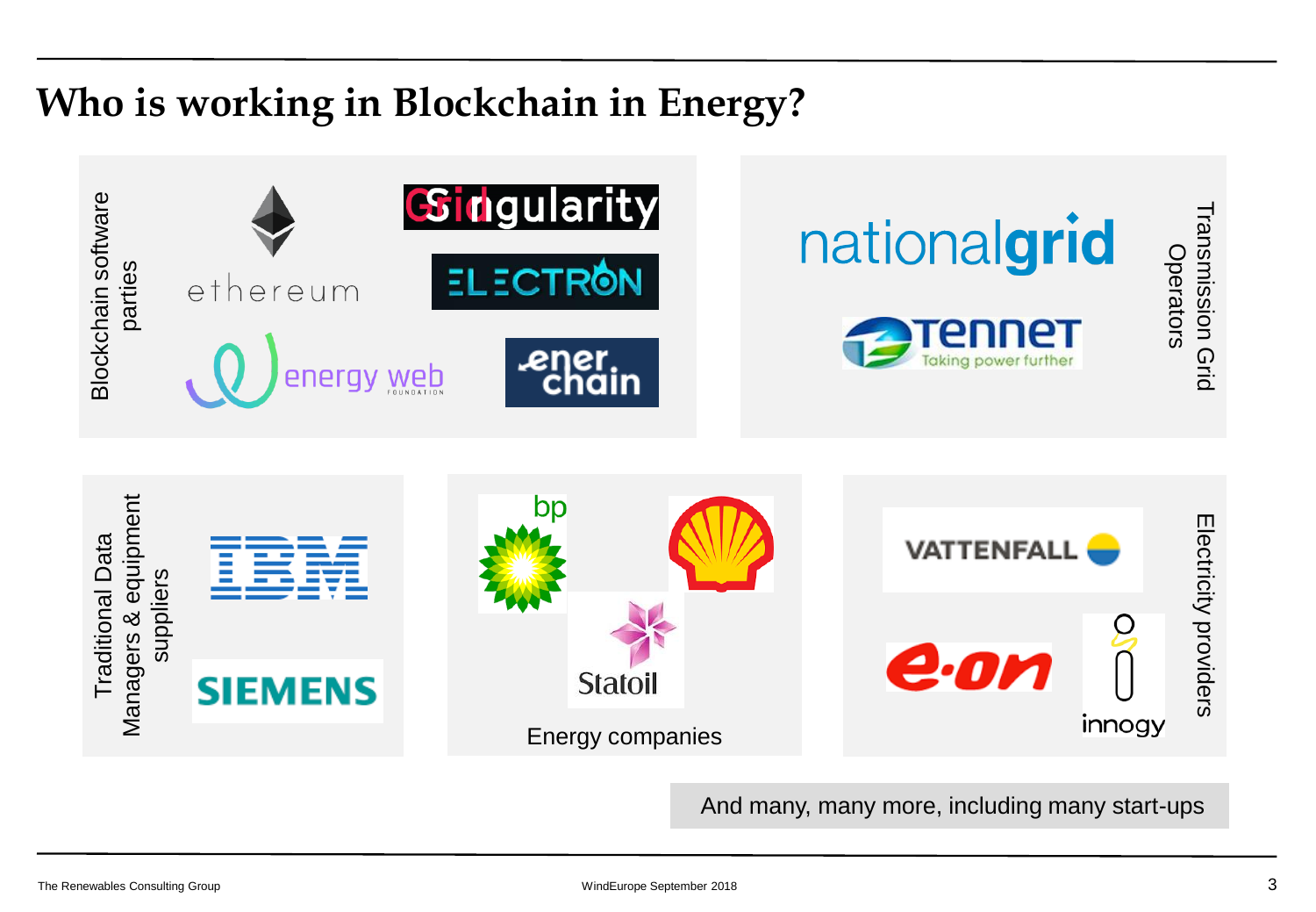## **Who is working in Blockchain in Energy?**



And many, many more, including many start-ups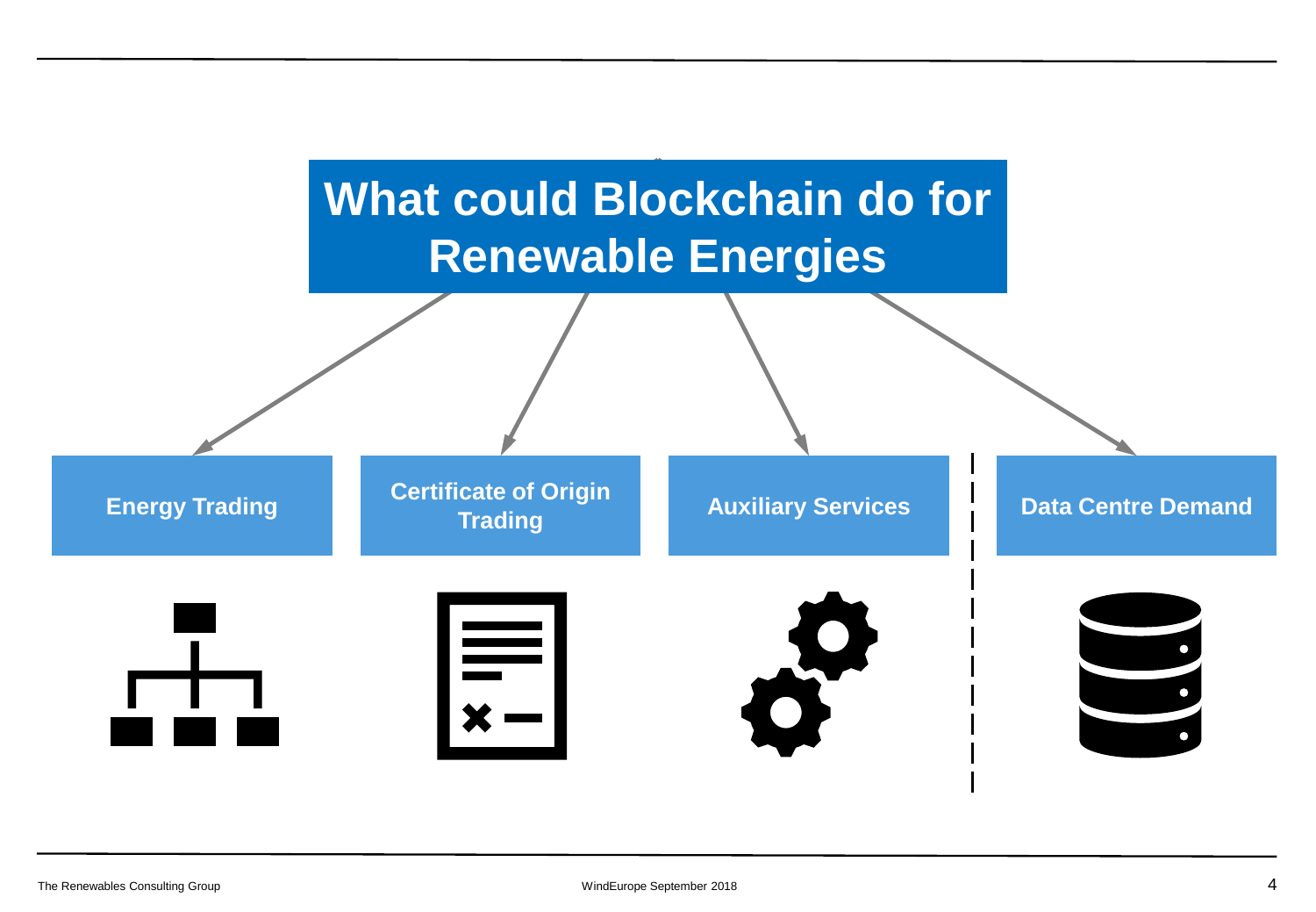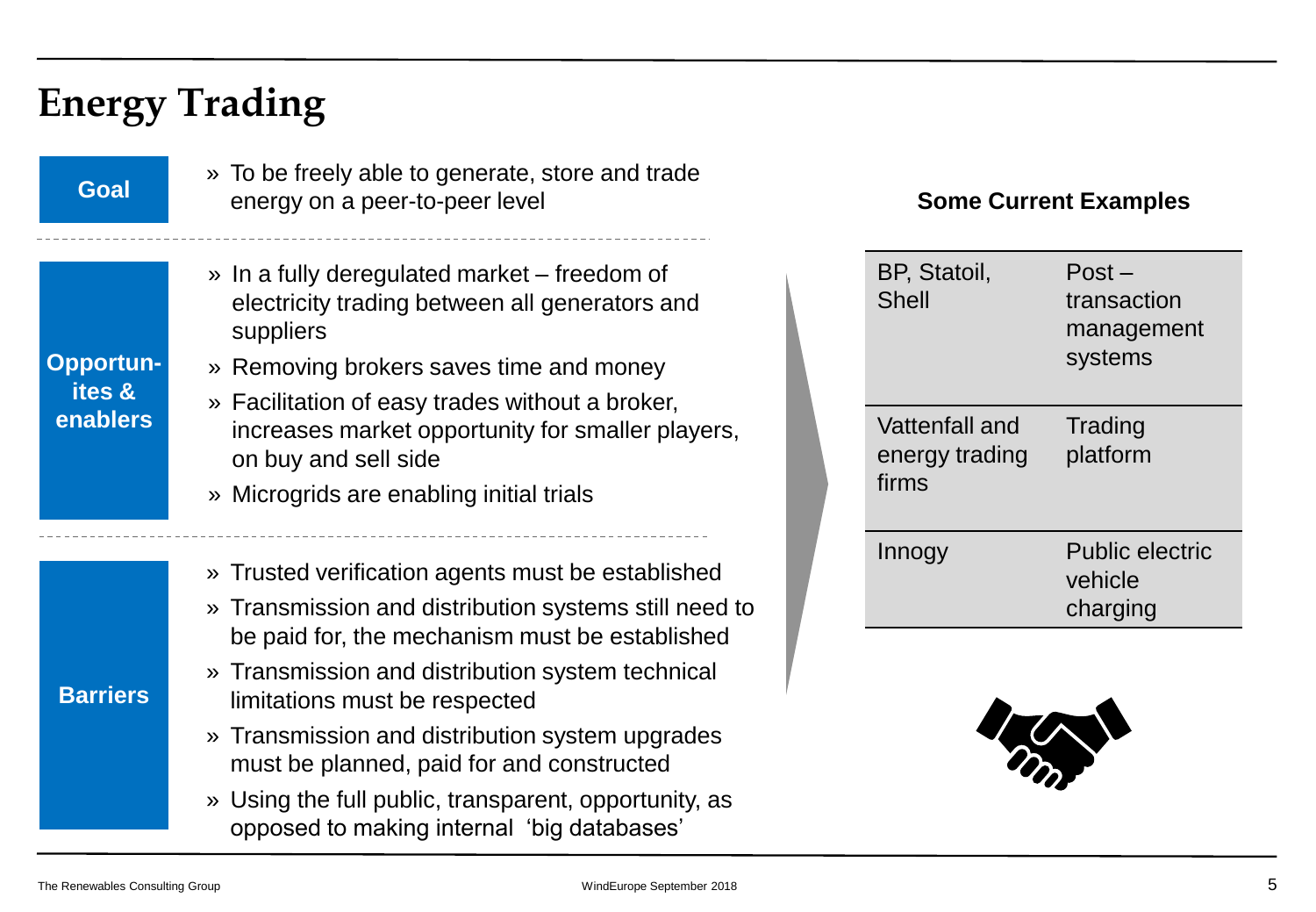## **Energy Trading**

**Goal**

**Opportunites & enablers**

» To be freely able to generate, store and trade energy on a peer-to-peer level

- » In a fully deregulated market freedom of electricity trading between all generators and suppliers
- » Removing brokers saves time and money
- » Facilitation of easy trades without a broker, increases market opportunity for smaller players, on buy and sell side
- » Microgrids are enabling initial trials
- » Trusted verification agents must be established
- » Transmission and distribution systems still need to be paid for, the mechanism must be established
- » Transmission and distribution system technical limitations must be respected
- » Transmission and distribution system upgrades must be planned, paid for and constructed
- » Using the full public, transparent, opportunity, as opposed to making internal 'big databases'

### **Some Current Examples**

| BP, Statoil,<br><b>Shell</b>              | $Post -$<br>transaction<br>management<br>systems |
|-------------------------------------------|--------------------------------------------------|
| Vattenfall and<br>energy trading<br>firms | Trading<br>platform                              |
| Innogy                                    | <b>Public electric</b><br>vehicle<br>charging    |



**Barriers**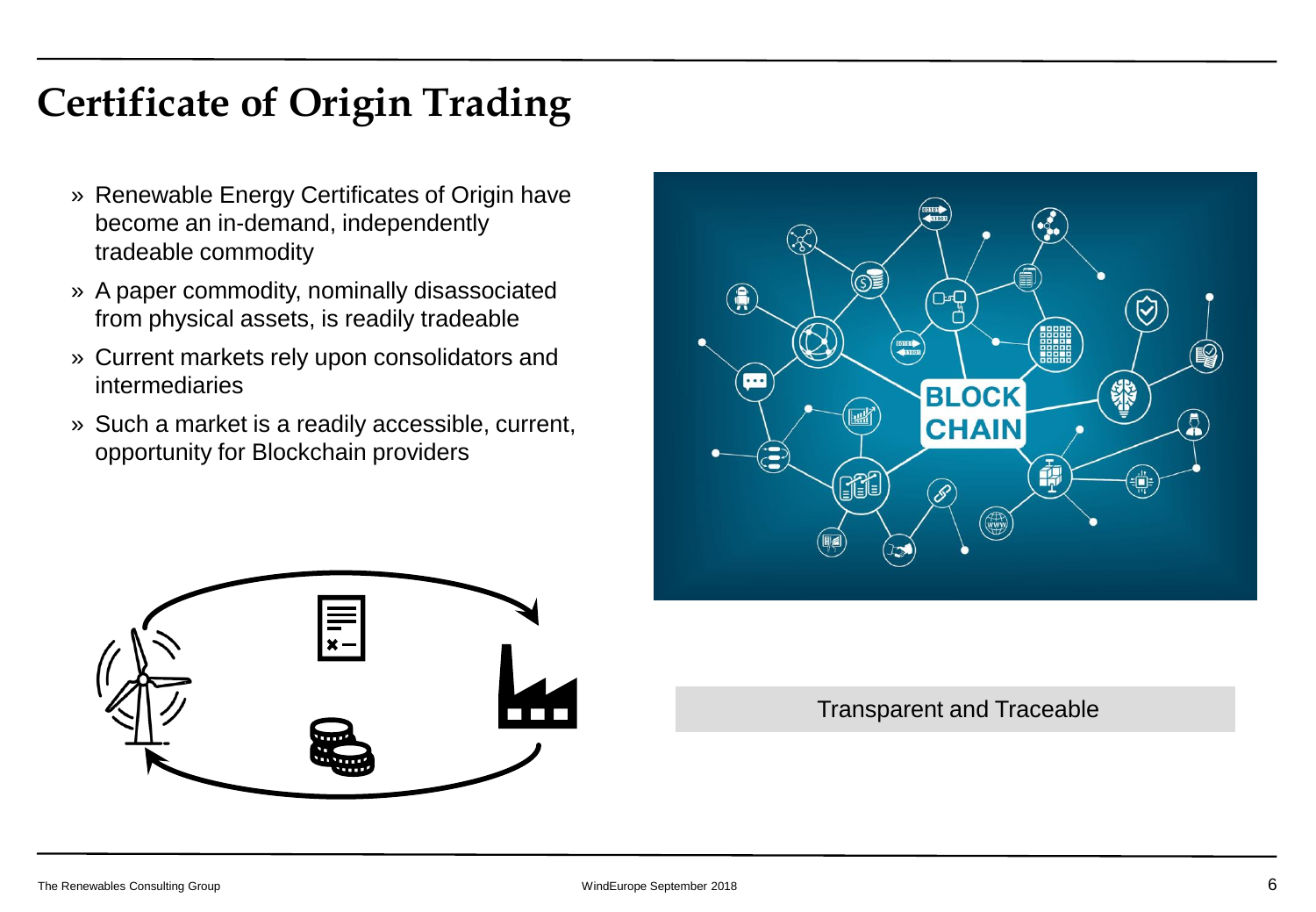## **Certificate of Origin Trading**

- » Renewable Energy Certificates of Origin have become an in-demand, independently tradeable commodity
- » A paper commodity, nominally disassociated from physical assets, is readily tradeable
- » Current markets rely upon consolidators and intermediaries
- » Such a market is a readily accessible, current, opportunity for Blockchain providers





Transparent and Traceable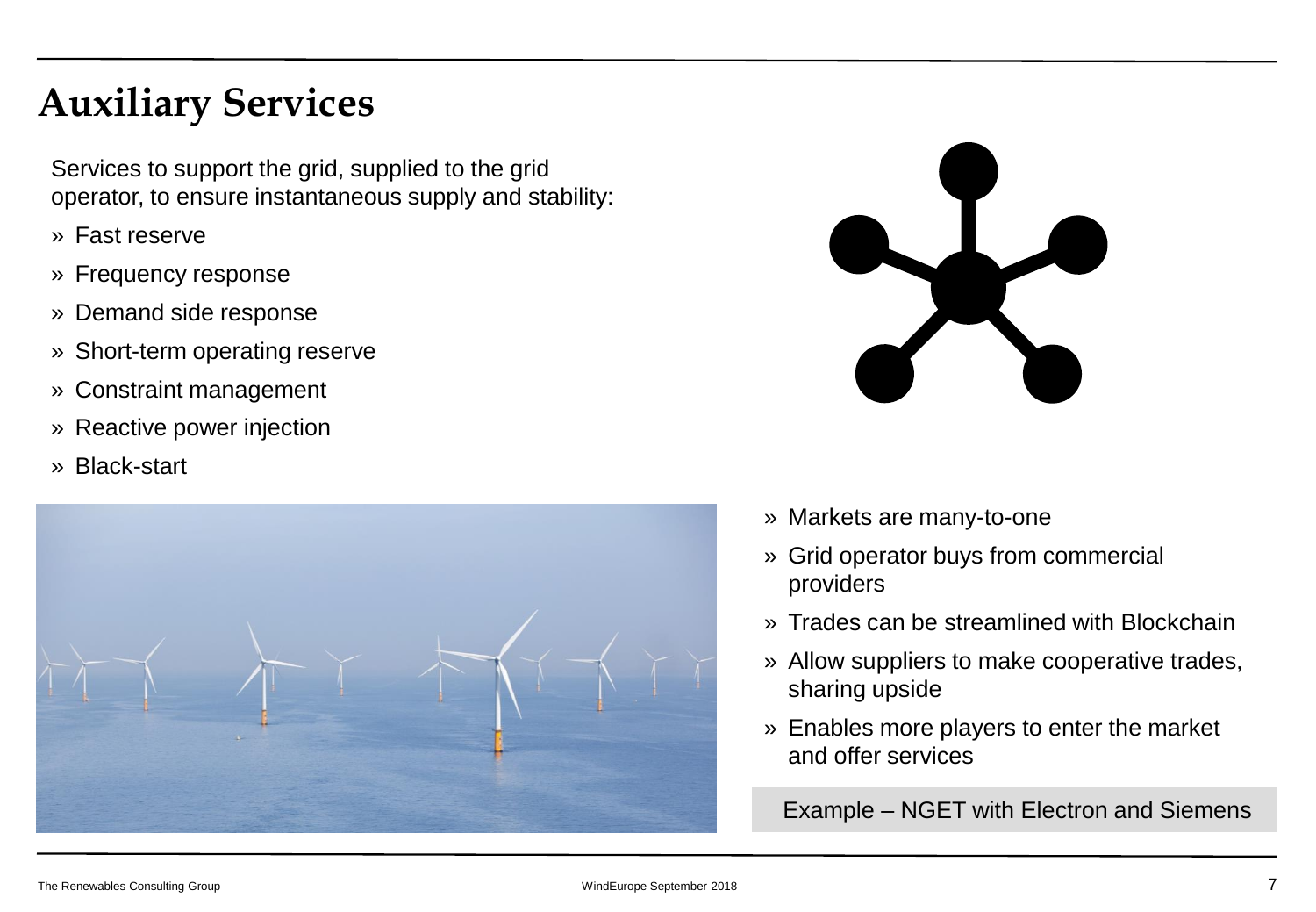## **Auxiliary Services**

Services to support the grid, supplied to the grid operator, to ensure instantaneous supply and stability:

- » Fast reserve
- » Frequency response
- » Demand side response
- » Short-term operating reserve
- » Constraint management
- » Reactive power injection
- » Black-start





- » Markets are many-to-one
- » Grid operator buys from commercial providers
- » Trades can be streamlined with Blockchain
- » Allow suppliers to make cooperative trades, sharing upside
- » Enables more players to enter the market and offer services

Example – NGET with Electron and Siemens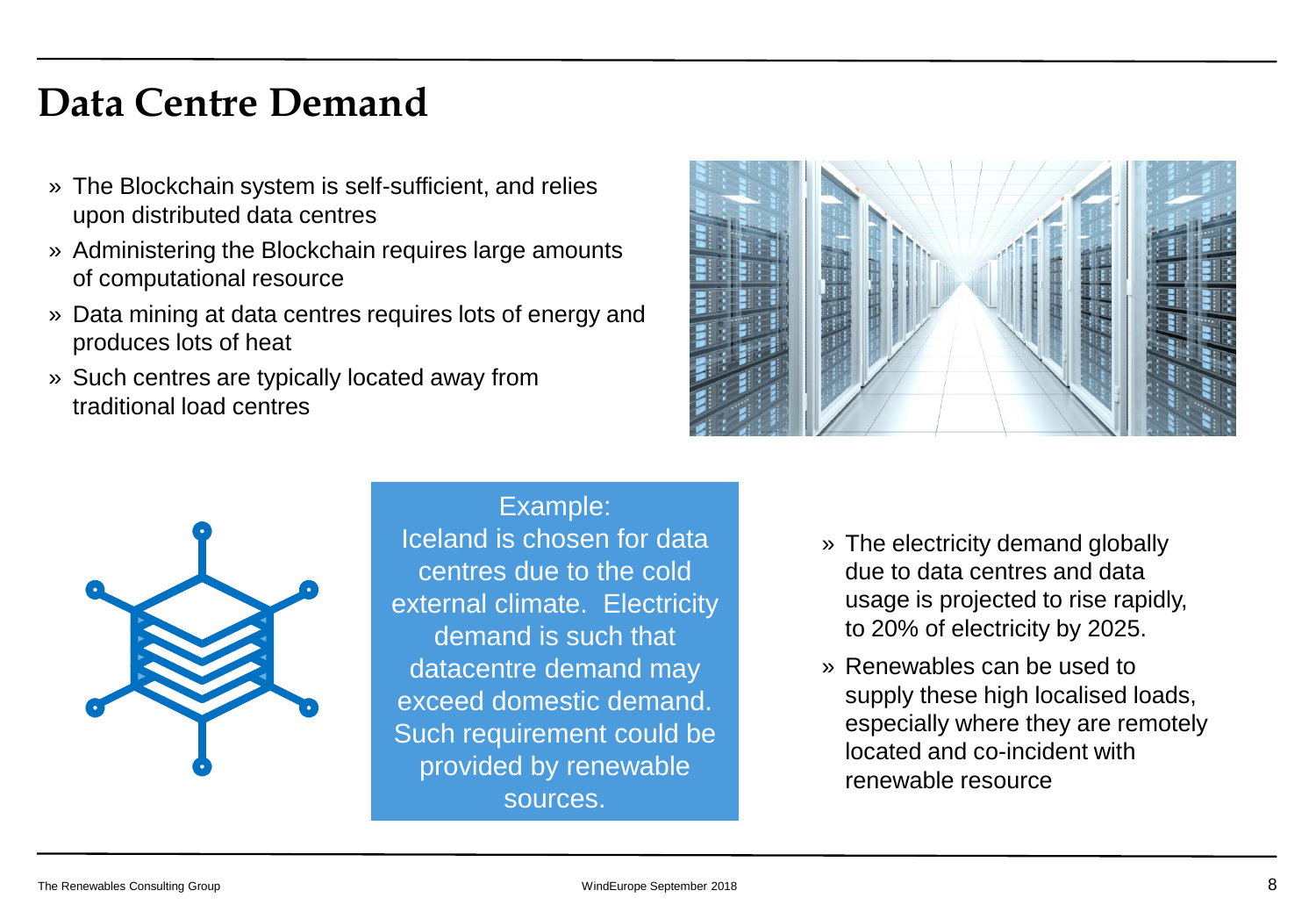### **Data Centre Demand**

- » The Blockchain system is self-sufficient, and relies upon distributed data centres
- » Administering the Blockchain requires large amounts of computational resource
- » Data mining at data centres requires lots of energy and produces lots of heat
- » Such centres are typically located away from traditional load centres





Example: Iceland is chosen for data centres due to the cold external climate. Electricity demand is such that datacentre demand may exceed domestic demand. Such requirement could be provided by renewable sources.

- » The electricity demand globally due to data centres and data usage is projected to rise rapidly, to 20% of electricity by 2025.
- » Renewables can be used to supply these high localised loads, especially where they are remotely located and co-incident with renewable resource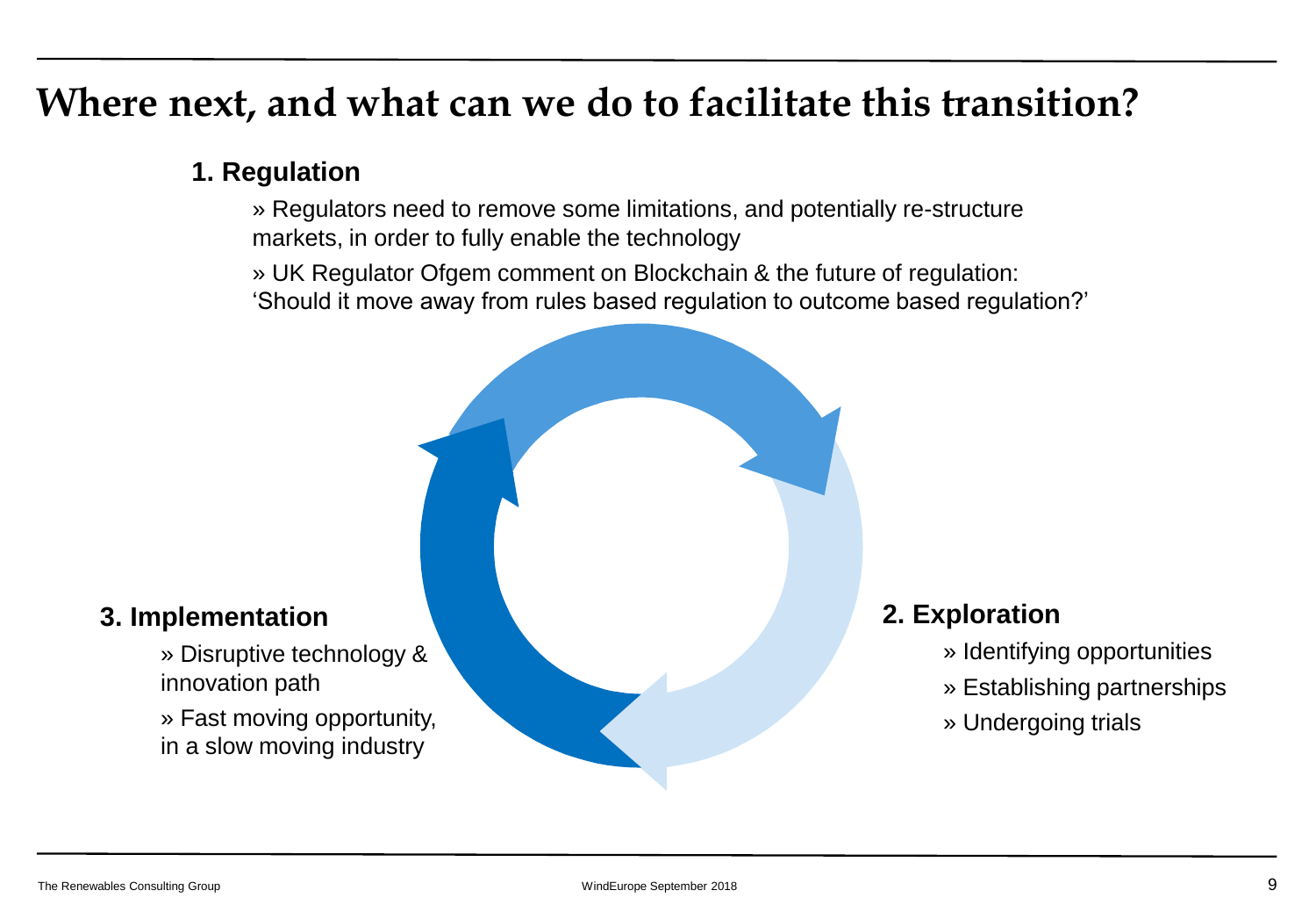### **Where next, and what can we do to facilitate this transition?**

### **1. Regulation**

» Regulators need to remove some limitations, and potentially re-structure markets, in order to fully enable the technology

» UK Regulator Ofgem comment on Blockchain & the future of regulation:

'Should it move away from rules based regulation to outcome based regulation?'



### **3. Implementation**

» Disruptive technology & innovation path

» Fast moving opportunity, in a slow moving industry

### **2. Exploration**

- » Identifying opportunities
- » Establishing partnerships
- » Undergoing trials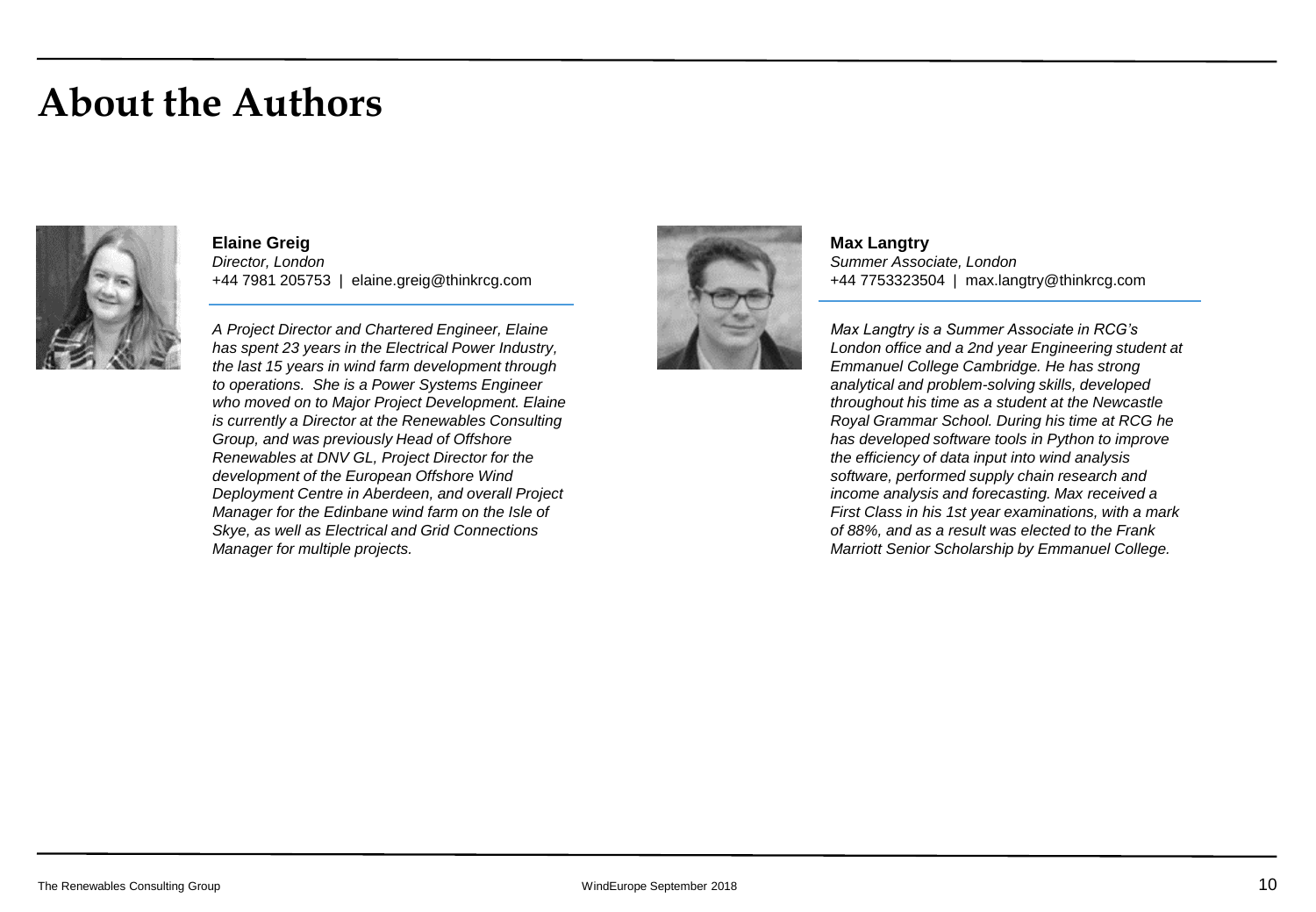### **About the Authors**



**Elaine Greig** *Director, London* +44 7981 205753 | elaine.greig@thinkrcg.com

*A Project Director and Chartered Engineer, Elaine has spent 23 years in the Electrical Power Industry, the last 15 years in wind farm development through to operations. She is a Power Systems Engineer who moved on to Major Project Development. Elaine is currently a Director at the Renewables Consulting Group, and was previously Head of Offshore Renewables at DNV GL, Project Director for the development of the European Offshore Wind Deployment Centre in Aberdeen, and overall Project Manager for the Edinbane wind farm on the Isle of Skye, as well as Electrical and Grid Connections Manager for multiple projects.*



**Max Langtry** *Summer Associate, London* +44 7753323504 | max.langtry@thinkrcg.com

*Max Langtry is a Summer Associate in RCG's London office and a 2nd year Engineering student at Emmanuel College Cambridge. He has strong analytical and problem-solving skills, developed throughout his time as a student at the Newcastle Royal Grammar School. During his time at RCG he has developed software tools in Python to improve the efficiency of data input into wind analysis software, performed supply chain research and income analysis and forecasting. Max received a First Class in his 1st year examinations, with a mark of 88%, and as a result was elected to the Frank Marriott Senior Scholarship by Emmanuel College.*